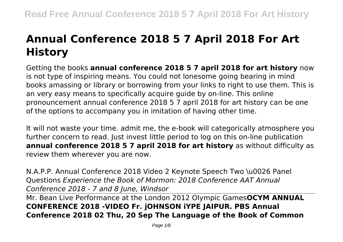# **Annual Conference 2018 5 7 April 2018 For Art History**

Getting the books **annual conference 2018 5 7 april 2018 for art history** now is not type of inspiring means. You could not lonesome going bearing in mind books amassing or library or borrowing from your links to right to use them. This is an very easy means to specifically acquire guide by on-line. This online pronouncement annual conference 2018 5 7 april 2018 for art history can be one of the options to accompany you in imitation of having other time.

It will not waste your time. admit me, the e-book will categorically atmosphere you further concern to read. Just invest little period to log on this on-line publication **annual conference 2018 5 7 april 2018 for art history** as without difficulty as review them wherever you are now.

N.A.P.P. Annual Conference 2018 Video 2 Keynote Speech Two \u0026 Panel Questions *Experience the Book of Mormon: 2018 Conference AAT Annual Conference 2018 - 7 and 8 June, Windsor*

Mr. Bean Live Performance at the London 2012 Olympic Games**OCYM ANNUAL CONFERENCE 2018 -VIDEO Fr. jOHNSON iYPE JAIPUR. PBS Annual Conference 2018 02 Thu, 20 Sep The Language of the Book of Common**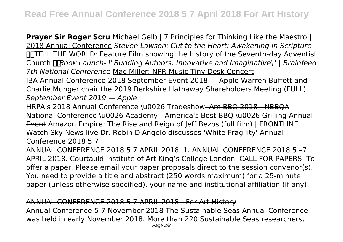**Prayer Sir Roger Scru** Michael Gelb | 7 Principles for Thinking Like the Maestro | 2018 Annual Conference *Steven Lawson: Cut to the Heart: Awakening in Scripture* **COTTELL THE WORLD: Feature Film showing the history of the Seventh-day Adventist** Church *Book Launch- \"Budding Authors: Innovative and Imaginative\" | Brainfeed 7th National Conference* Mac Miller: NPR Music Tiny Desk Concert

IBA Annual Conference 2018 September Event 2018 — Apple Warren Buffett and Charlie Munger chair the 2019 Berkshire Hathaway Shareholders Meeting (FULL) *September Event 2019 — Apple*

HRPA's 2018 Annual Conference \u0026 Tradeshow<del>I Am BBQ 2018 - NBBQA</del> National Conference \u0026 Academy - America's Best BBQ \u0026 Grilling Annual Event Amazon Empire: The Rise and Reign of Jeff Bezos (full film) | FRONTLINE Watch Sky News live Dr. Robin DiAngelo discusses 'White Fragility' Annual Conference 2018 5 7

ANNUAL CONFERENCE 2018 5 7 APRIL 2018. 1. ANNUAL CONFERENCE 2018 5 –7 APRIL 2018. Courtauld Institute of Art King's College London. CALL FOR PAPERS. To offer a paper. Please email your paper proposals direct to the session convenor(s). You need to provide a title and abstract (250 words maximum) for a 25-minute paper (unless otherwise specified), your name and institutional affiliation (if any).

# ANNUAL CONFERENCE 2018 5 7 APRIL 2018 - For Art History

Annual Conference 5-7 November 2018 The Sustainable Seas Annual Conference was held in early November 2018. More than 220 Sustainable Seas researchers,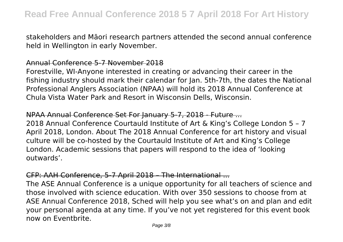stakeholders and Māori research partners attended the second annual conference held in Wellington in early November.

# Annual Conference 5-7 November 2018

Forestville, WI-Anyone interested in creating or advancing their career in the fishing industry should mark their calendar for Jan. 5th-7th, the dates the National Professional Anglers Association (NPAA) will hold its 2018 Annual Conference at Chula Vista Water Park and Resort in Wisconsin Dells, Wisconsin.

# NPAA Annual Conference Set For January 5-7, 2018 - Future ...

2018 Annual Conference Courtauld Institute of Art & King's College London 5 – 7 April 2018, London. About The 2018 Annual Conference for art history and visual culture will be co-hosted by the Courtauld Institute of Art and King's College London. Academic sessions that papers will respond to the idea of 'looking outwards'.

# CFP: AAH Conference, 5-7 April 2018 – The International ...

The ASE Annual Conference is a unique opportunity for all teachers of science and those involved with science education. With over 350 sessions to choose from at ASE Annual Conference 2018, Sched will help you see what's on and plan and edit your personal agenda at any time. If you've not yet registered for this event book now on Eventbrite.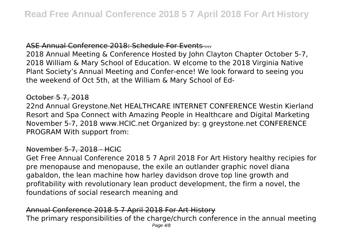# ASE Annual Conference 2018: Schedule For Events ...

2018 Annual Meeting & Conference Hosted by John Clayton Chapter October 5-7, 2018 William & Mary School of Education. W elcome to the 2018 Virginia Native Plant Society's Annual Meeting and Confer-ence! We look forward to seeing you the weekend of Oct 5th, at the William & Mary School of Ed-

# October 5 7, 2018

22nd Annual Greystone.Net HEALTHCARE INTERNET CONFERENCE Westin Kierland Resort and Spa Connect with Amazing People in Healthcare and Digital Marketing November 5-7, 2018 www.HCIC.net Organized by: g greystone.net CONFERENCE PROGRAM With support from:

# November 5-7, 2018 - HCIC

Get Free Annual Conference 2018 5 7 April 2018 For Art History healthy recipies for pre menopause and menopause, the exile an outlander graphic novel diana gabaldon, the lean machine how harley davidson drove top line growth and profitability with revolutionary lean product development, the firm a novel, the foundations of social research meaning and

#### Annual Conference 2018 5 7 April 2018 For Art History The primary responsibilities of the charge/church conference in the annual meeting Page  $4/8$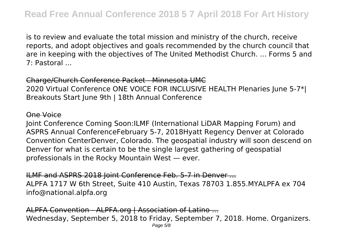is to review and evaluate the total mission and ministry of the church, receive reports, and adopt objectives and goals recommended by the church council that are in keeping with the objectives of The United Methodist Church. ... Forms 5 and 7: Pastoral ...

Charge/Church Conference Packet - Minnesota UMC 2020 Virtual Conference ONE VOICE FOR INCLUSIVE HEALTH Plenaries June 5-7\*| Breakouts Start June 9th | 18th Annual Conference

#### One Voice

Joint Conference Coming Soon:ILMF (International LiDAR Mapping Forum) and ASPRS Annual ConferenceFebruary 5-7, 2018Hyatt Regency Denver at Colorado Convention CenterDenver, Colorado. The geospatial industry will soon descend on Denver for what is certain to be the single largest gathering of geospatial professionals in the Rocky Mountain West — ever.

ILMF and ASPRS 2018 Joint Conference Feb. 5-7 in Denver ... ALPFA 1717 W 6th Street, Suite 410 Austin, Texas 78703 1.855.MYALPFA ex 704 info@national.alpfa.org

ALPFA Convention - ALPFA.org | Association of Latino ... Wednesday, September 5, 2018 to Friday, September 7, 2018. Home. Organizers. Page 5/8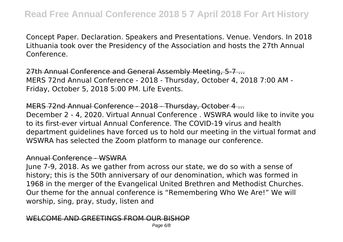Concept Paper. Declaration. Speakers and Presentations. Venue. Vendors. In 2018 Lithuania took over the Presidency of the Association and hosts the 27th Annual Conference.

27th Annual Conference and General Assembly Meeting, 5-7 ... MERS 72nd Annual Conference - 2018 - Thursday, October 4, 2018 7:00 AM - Friday, October 5, 2018 5:00 PM. Life Events.

MERS 72nd Annual Conference - 2018 - Thursday, October 4 ... December 2 - 4, 2020. Virtual Annual Conference . WSWRA would like to invite you to its first-ever virtual Annual Conference. The COVID-19 virus and health department guidelines have forced us to hold our meeting in the virtual format and WSWRA has selected the Zoom platform to manage our conference.

# Annual Conference - WSWRA

June 7-9, 2018. As we gather from across our state, we do so with a sense of history; this is the 50th anniversary of our denomination, which was formed in 1968 in the merger of the Evangelical United Brethren and Methodist Churches. Our theme for the annual conference is "Remembering Who We Are!" We will worship, sing, pray, study, listen and

# COME AND GREETINGS FROM OUR BIS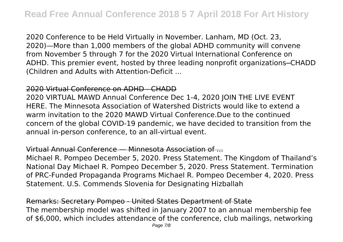2020 Conference to be Held Virtually in November. Lanham, MD (Oct. 23, 2020)—More than 1,000 members of the global ADHD community will convene from November 5 through 7 for the 2020 Virtual International Conference on ADHD. This premier event, hosted by three leading nonprofit organizations─CHADD (Children and Adults with Attention-Deficit ...

# 2020 Virtual Conference on ADHD - CHADD

2020 VIRTUAL MAWD Annual Conference Dec 1-4, 2020 JOIN THE LIVE EVENT HERE. The Minnesota Association of Watershed Districts would like to extend a warm invitation to the 2020 MAWD Virtual Conference.Due to the continued concern of the global COVID-19 pandemic, we have decided to transition from the annual in-person conference, to an all-virtual event.

# Virtual Annual Conference — Minnesota Association of ...

Michael R. Pompeo December 5, 2020. Press Statement. The Kingdom of Thailand's National Day Michael R. Pompeo December 5, 2020. Press Statement. Termination of PRC-Funded Propaganda Programs Michael R. Pompeo December 4, 2020. Press Statement. U.S. Commends Slovenia for Designating Hizballah

Remarks: Secretary Pompeo - United States Department of State The membership model was shifted in January 2007 to an annual membership fee of \$6,000, which includes attendance of the conference, club mailings, networking